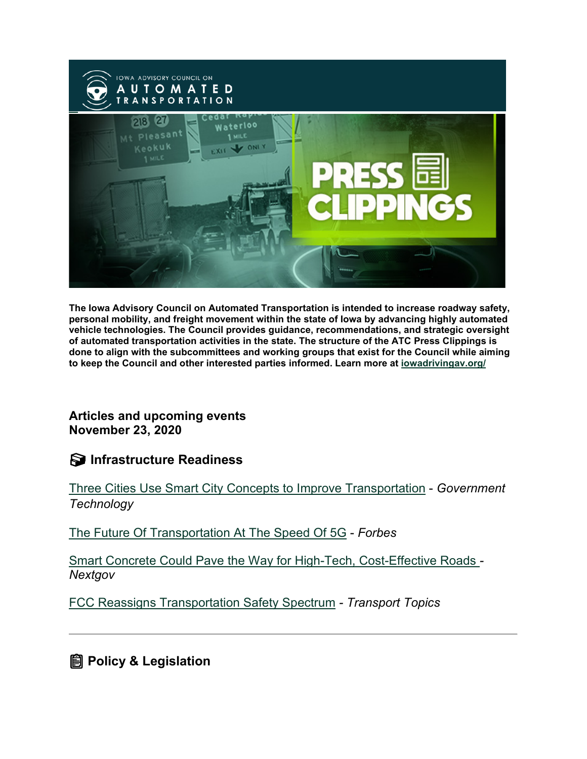

**The Iowa Advisory Council on Automated Transportation is intended to increase roadway safety, personal mobility, and freight movement within the state of Iowa by advancing highly automated vehicle technologies. The Council provides guidance, recommendations, and strategic oversight of automated transportation activities in the state. The structure of the ATC Press Clippings is done to align with the subcommittees and working groups that exist for the Council while aiming to keep the Council and other interested parties informed. Learn more at [iowadrivingav.org/](https://iowadrivingav.org/?utm_medium=email&utm_source=govdelivery)**

**Articles and upcoming events November 23, 2020**

**S** Infrastructure Readiness

[Three Cities Use Smart City Concepts to Improve Transportation](https://www.govtech.com/fs/data/Three-Cities-Use-Smart-City-Concepts-to-Improve-Transportation.html?utm_medium=email&utm_source=govdelivery) - *Government Technology*

[The Future Of Transportation At The Speed](https://www.forbes.com/sites/forbestechcouncil/2020/11/04/the-future-of-transportation-at-the-speed-of-5g/?sh=6ac237f366f0&utm_medium=email&utm_source=govdelivery) Of 5G - *Forbes*

[Smart Concrete Could Pave the Way for High-Tech, Cost-Effective Roads](https://www.nextgov.com/ideas/2020/11/smart-concrete-could-pave-way-high-tech-cost-effective-roads/170046/?utm_medium=email&utm_source=govdelivery) *- Nextgov*

[FCC Reassigns Transportation Safety Spectrum](https://www.ttnews.com/articles/automakers-lose-frequency-spectrum-fcc-vote?utm_medium=email&utm_source=govdelivery) *- Transport Topics*

**Policy & Legislation**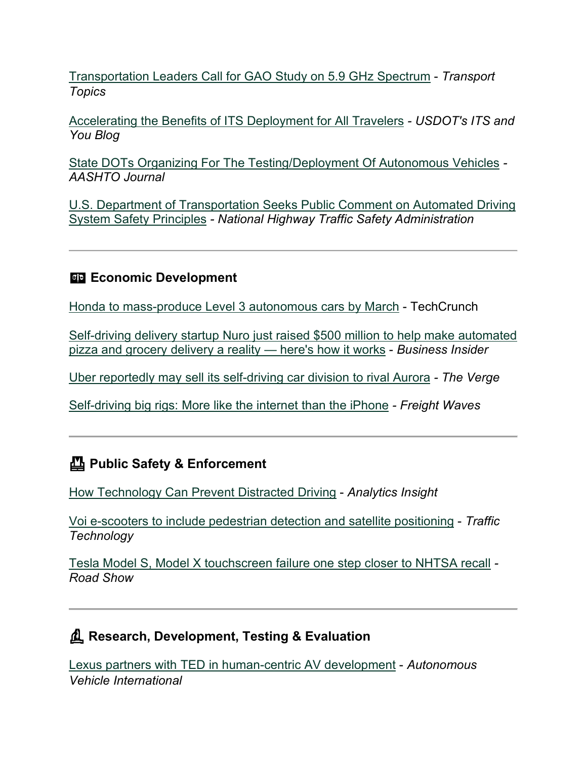[Transportation Leaders Call for GAO Study on 5.9 GHz Spectrum](https://www.ttnews.com/articles/transportation-leaders-call-gao-study-59-ghz-spectrum?utm_medium=email&utm_source=govdelivery) - *Transport Topics*

[Accelerating the Benefits of ITS Deployment for All Travelers](https://www.its.dot.gov/about/blog/itsjpo_blog_06.htm?utm_medium=email&utm_source=govdelivery) *- USDOT's ITS and You Blog*

[State DOTs Organizing For The Testing/Deployment Of Autonomous Vehicles](https://aashtojournal.org/2020/11/18/state-dots-organizing-for-the-testing-deployment-of-autonomous-vehicles/?utm_medium=email&utm_source=govdelivery) *- AASHTO Journal*

[U.S. Department of Transportation Seeks Public Comment on Automated Driving](https://www.nhtsa.gov/press-releases/public-comment-automated-driving-system-safety-principles?utm_medium=email&utm_source=govdelivery)  [System Safety Principles](https://www.nhtsa.gov/press-releases/public-comment-automated-driving-system-safety-principles?utm_medium=email&utm_source=govdelivery) *- National Highway Traffic Safety Administration*

#### **Example 2** Economic Development

[Honda to mass-produce Level 3 autonomous cars by March](https://techcrunch.com/2020/11/11/honda-to-mass-produce-level-3-autonomous-cars-by-march/?utm_medium=email&utm_source=govdelivery) - TechCrunch

[Self-driving delivery startup Nuro just raised \\$500 million to help make automated](https://www.businessinsider.com/self-driving-delivery-vehicle-startup-nuro-how-it-works-2020-11?utm_medium=email&utm_source=govdelivery)  [pizza and grocery delivery a reality —](https://www.businessinsider.com/self-driving-delivery-vehicle-startup-nuro-how-it-works-2020-11?utm_medium=email&utm_source=govdelivery) here's how it works - *Business Insider*

[Uber reportedly may sell its self-driving car division to rival Aurora](https://www.theverge.com/2020/11/14/21565017/uber-reportedly-selling-autonomous-vehicle-division-aurora-self-driving?utm_medium=email&utm_source=govdelivery) *- The Verge*

[Self-driving big rigs: More like the internet than the iPhone](https://www.freightwaves.com/news/self-driving-big-rigs-more-like-the-internet-than-the-iphone?utm_medium=email&utm_source=govdelivery) *- Freight Waves*

## **Public Safety & Enforcement**

[How Technology Can Prevent Distracted Driving](https://www.analyticsinsight.net/how-technology-can-prevent-distracted-driving/?utm_medium=email&utm_source=govdelivery) - *Analytics Insight*

[Voi e-scooters to include pedestrian detection and satellite positioning](https://www.traffictechnologytoday.com/news/multimodal-systems/world-first-voi-e-scooters-to-include-pedestrian-detection-and-satellite-positioning.html?utm_medium=email&utm_source=govdelivery) - *Traffic Technology*

Tesla Model S, Model [X touchscreen failure one step closer to NHTSA recall](https://www.cnet.com/roadshow/news/tesla-model-s-model-x-touchscreen-failure-nhtsa-recall-safety/?utm_medium=email&utm_source=govdelivery) *- Road Show*

## **Research, Development, Testing & Evaluation**

[Lexus partners with TED in human-centric AV development](https://www.autonomousvehicleinternational.com/videos/lexus-partners-with-ted-in-human-centric-av-development.html?utm_medium=email&utm_source=govdelivery) - *Autonomous Vehicle International*